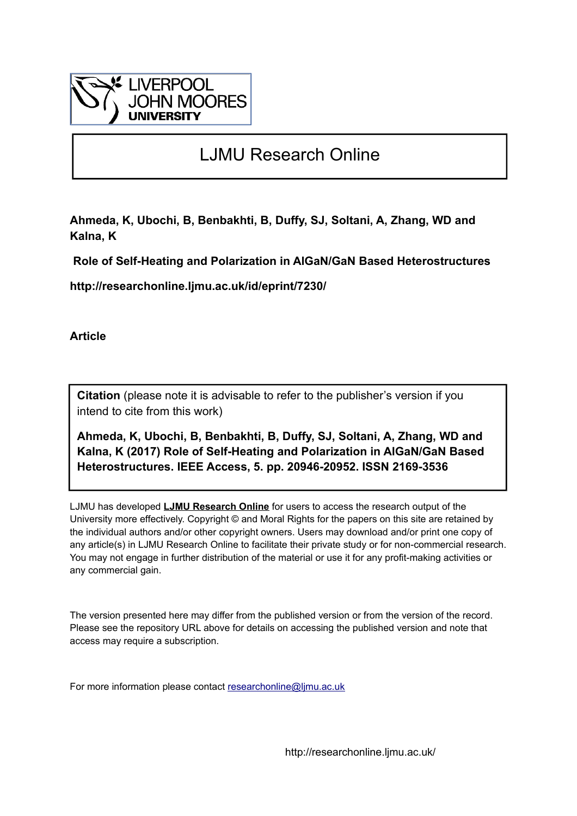

# LJMU Research Online

**Ahmeda, K, Ubochi, B, Benbakhti, B, Duffy, SJ, Soltani, A, Zhang, WD and Kalna, K**

 **Role of Self-Heating and Polarization in AlGaN/GaN Based Heterostructures**

**http://researchonline.ljmu.ac.uk/id/eprint/7230/**

**Article**

**Citation** (please note it is advisable to refer to the publisher's version if you intend to cite from this work)

**Ahmeda, K, Ubochi, B, Benbakhti, B, Duffy, SJ, Soltani, A, Zhang, WD and Kalna, K (2017) Role of Self-Heating and Polarization in AlGaN/GaN Based Heterostructures. IEEE Access, 5. pp. 20946-20952. ISSN 2169-3536** 

LJMU has developed **[LJMU Research Online](http://researchonline.ljmu.ac.uk/)** for users to access the research output of the University more effectively. Copyright © and Moral Rights for the papers on this site are retained by the individual authors and/or other copyright owners. Users may download and/or print one copy of any article(s) in LJMU Research Online to facilitate their private study or for non-commercial research. You may not engage in further distribution of the material or use it for any profit-making activities or any commercial gain.

The version presented here may differ from the published version or from the version of the record. Please see the repository URL above for details on accessing the published version and note that access may require a subscription.

For more information please contact [researchonline@ljmu.ac.uk](mailto:researchonline@ljmu.ac.uk)

http://researchonline.ljmu.ac.uk/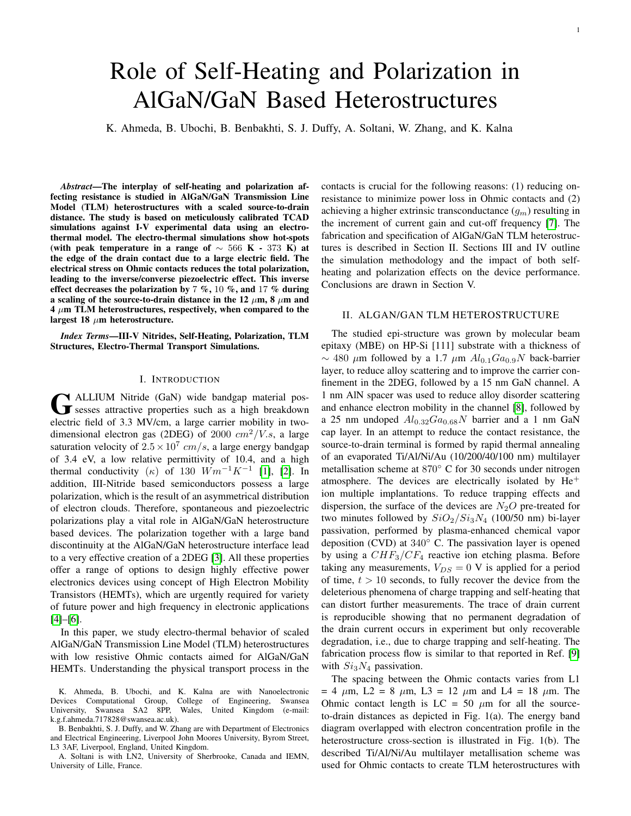# Role of Self-Heating and Polarization in AlGaN/GaN Based Heterostructures

K. Ahmeda, B. Ubochi, B. Benbakhti, S. J. Duffy, A. Soltani, W. Zhang, and K. Kalna

*Abstract*—The interplay of self-heating and polarization affecting resistance is studied in AlGaN/GaN Transmission Line Model (TLM) heterostructures with a scaled source-to-drain distance. The study is based on meticulously calibrated TCAD simulations against I-V experimental data using an electrothermal model. The electro-thermal simulations show hot-spots (with peak temperature in a range of  $\sim 566$  K - 373 K) at the edge of the drain contact due to a large electric field. The electrical stress on Ohmic contacts reduces the total polarization, leading to the inverse/converse piezoelectric effect. This inverse effect decreases the polarization by 7 %, 10 %, and 17 % during a scaling of the source-to-drain distance in the 12  $\mu$ m, 8  $\mu$ m and  $4 \mu m$  TLM heterostructures, respectively, when compared to the largest 18  $\mu$ m heterostructure.

*Index Terms*—III-V Nitrides, Self-Heating, Polarization, TLM Structures, Electro-Thermal Transport Simulations.

## I. INTRODUCTION

GALLIUM Nitride (GaN) wide bandgap material pos-<br>sesses attractive properties such as a high breakdown ALLIUM Nitride (GaN) wide bandgap material poselectric field of 3.3 MV/cm, a large carrier mobility in twodimensional electron gas (2DEG) of 2000  $cm^2/V.s$ , a large saturation velocity of  $2.5 \times 10^7$  cm/s, a large energy bandgap of 3.4 eV, a low relative permittivity of 10.4, and a high thermal conductivity  $(\kappa)$  of 130  $Wm^{-1}K^{-1}$  [\[1\]](#page-6-0), [\[2\]](#page-6-1). In addition, III-Nitride based semiconductors possess a large polarization, which is the result of an asymmetrical distribution of electron clouds. Therefore, spontaneous and piezoelectric polarizations play a vital role in AlGaN/GaN heterostructure based devices. The polarization together with a large band discontinuity at the AlGaN/GaN heterostructure interface lead to a very effective creation of a 2DEG [\[3\]](#page-6-2). All these properties offer a range of options to design highly effective power electronics devices using concept of High Electron Mobility Transistors (HEMTs), which are urgently required for variety of future power and high frequency in electronic applications [\[4\]](#page-6-3)–[\[6\]](#page-6-4).

In this paper, we study electro-thermal behavior of scaled AlGaN/GaN Transmission Line Model (TLM) heterostructures with low resistive Ohmic contacts aimed for AlGaN/GaN HEMTs. Understanding the physical transport process in the

A. Soltani is with LN2, University of Sherbrooke, Canada and IEMN, University of Lille, France.

contacts is crucial for the following reasons: (1) reducing onresistance to minimize power loss in Ohmic contacts and (2) achieving a higher extrinsic transconductance  $(q_m)$  resulting in the increment of current gain and cut-off frequency [\[7\]](#page-6-5). The fabrication and specification of AlGaN/GaN TLM heterostructures is described in Section II. Sections III and IV outline the simulation methodology and the impact of both selfheating and polarization effects on the device performance. Conclusions are drawn in Section V.

#### II. ALGAN/GAN TLM HETEROSTRUCTURE

The studied epi-structure was grown by molecular beam epitaxy (MBE) on HP-Si [111] substrate with a thickness of  $\sim$  480 µm followed by a 1.7 µm  $Al_{0.1}Ga_{0.9}N$  back-barrier layer, to reduce alloy scattering and to improve the carrier confinement in the 2DEG, followed by a 15 nm GaN channel. A 1 nm AlN spacer was used to reduce alloy disorder scattering and enhance electron mobility in the channel [\[8\]](#page-6-6), followed by a 25 nm undoped  $Al_{0.32}Ga_{0.68}N$  barrier and a 1 nm GaN cap layer. In an attempt to reduce the contact resistance, the source-to-drain terminal is formed by rapid thermal annealing of an evaporated Ti/Al/Ni/Au (10/200/40/100 nm) multilayer metallisation scheme at 870◦ C for 30 seconds under nitrogen atmosphere. The devices are electrically isolated by  $He<sup>+</sup>$ ion multiple implantations. To reduce trapping effects and dispersion, the surface of the devices are  $N_2O$  pre-treated for two minutes followed by  $SiO_2/Si_3N_4$  (100/50 nm) bi-layer passivation, performed by plasma-enhanced chemical vapor deposition (CVD) at 340◦ C. The passivation layer is opened by using a  $CHF_3/CF_4$  reactive ion etching plasma. Before taking any measurements,  $V_{DS} = 0$  V is applied for a period of time,  $t > 10$  seconds, to fully recover the device from the deleterious phenomena of charge trapping and self-heating that can distort further measurements. The trace of drain current is reproducible showing that no permanent degradation of the drain current occurs in experiment but only recoverable degradation, i.e., due to charge trapping and self-heating. The fabrication process flow is similar to that reported in Ref. [\[9\]](#page-6-7) with  $Si<sub>3</sub>N<sub>4</sub>$  passivation.

The spacing between the Ohmic contacts varies from L1  $= 4 \mu m$ , L2 = 8  $\mu$ m, L3 = 12  $\mu$ m and L4 = 18  $\mu$ m. The Ohmic contact length is  $LC = 50 \mu m$  for all the sourceto-drain distances as depicted in Fig. 1(a). The energy band diagram overlapped with electron concentration profile in the heterostructure cross-section is illustrated in Fig. 1(b). The described Ti/Al/Ni/Au multilayer metallisation scheme was used for Ohmic contacts to create TLM heterostructures with

K. Ahmeda, B. Ubochi, and K. Kalna are with Nanoelectronic Devices Computational Group, College of Engineering, Swansea University, Swansea SA2 8PP, Wales, United Kingdom (e-mail: k.g.f.ahmeda.717828@swansea.ac.uk).

B. Benbakhti, S. J. Duffy, and W. Zhang are with Department of Electronics and Electrical Engineering, Liverpool John Moores University, Byrom Street, L3 3AF, Liverpool, England, United Kingdom.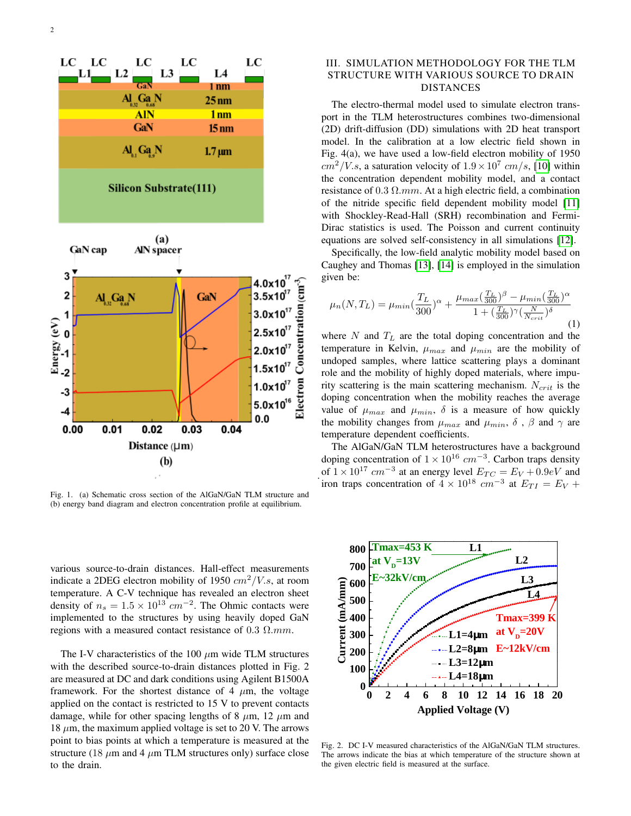

Fig. 1. (a) Schematic cross section of the AlGaN/GaN TLM structure and (b) energy band diagram and electron concentration profile at equilibrium.

various source-to-drain distances. Hall-effect measurements indicate a 2DEG electron mobility of 1950  $cm^2/V.s$ , at room temperature. A C-V technique has revealed an electron sheet density of  $n_s = 1.5 \times 10^{13}$   $cm^{-2}$ . The Ohmic contacts were implemented to the structures by using heavily doped GaN regions with a measured contact resistance of 0.3  $\Omega$ .mm.

The I-V characteristics of the 100  $\mu$ m wide TLM structures with the described source-to-drain distances plotted in Fig. 2 are measured at DC and dark conditions using Agilent B1500A framework. For the shortest distance of 4  $\mu$ m, the voltage applied on the contact is restricted to 15 V to prevent contacts damage, while for other spacing lengths of 8  $\mu$ m, 12  $\mu$ m and 18  $\mu$ m, the maximum applied voltage is set to 20 V. The arrows point to bias points at which a temperature is measured at the structure (18  $\mu$ m and 4  $\mu$ m TLM structures only) surface close to the drain.

# III. SIMULATION METHODOLOGY FOR THE TLM STRUCTURE WITH VARIOUS SOURCE TO DRAIN DISTANCES

The electro-thermal model used to simulate electron transport in the TLM heterostructures combines two-dimensional (2D) drift-diffusion (DD) simulations with 2D heat transport model. In the calibration at a low electric field shown in Fig. 4(a), we have used a low-field electron mobility of 1950  $cm^2/V.s$ , a saturation velocity of  $1.9 \times 10^7$  cm/s, [\[10\]](#page-6-8) within the concentration dependent mobility model, and a contact resistance of  $0.3 \Omega$ .mm. At a high electric field, a combination of the nitride specific field dependent mobility model [\[11\]](#page-6-9) with Shockley-Read-Hall (SRH) recombination and Fermi-Dirac statistics is used. The Poisson and current continuity equations are solved self-consistency in all simulations [\[12\]](#page-6-10).

Specifically, the low-field analytic mobility model based on Caughey and Thomas [\[13\]](#page-6-11), [\[14\]](#page-6-12) is employed in the simulation given be:

$$
\mu_n(N, T_L) = \mu_{min} \left( \frac{T_L}{300} \right)^{\alpha} + \frac{\mu_{max} \left( \frac{T_L}{300} \right)^{\beta} - \mu_{min} \left( \frac{T_L}{300} \right)^{\alpha}}{1 + \left( \frac{T_L}{300} \right)^{\gamma} \left( \frac{N}{N_{crit}} \right)^{\delta}}
$$
(1)

where  $N$  and  $T<sub>L</sub>$  are the total doping concentration and the temperature in Kelvin,  $\mu_{max}$  and  $\mu_{min}$  are the mobility of undoped samples, where lattice scattering plays a dominant role and the mobility of highly doped materials, where impurity scattering is the main scattering mechanism.  $N_{crit}$  is the doping concentration when the mobility reaches the average value of  $\mu_{max}$  and  $\mu_{min}$ ,  $\delta$  is a measure of how quickly the mobility changes from  $\mu_{max}$  and  $\mu_{min}$ ,  $\delta$ ,  $\beta$  and  $\gamma$  are temperature dependent coefficients.

. The AlGaN/GaN TLM heterostructures have a background doping concentration of  $1 \times 10^{16}$  cm<sup>-3</sup>. Carbon traps density of  $1 \times 10^{17}$  cm<sup>-3</sup> at an energy level  $E_{TC} = E_V + 0.9eV$  and iron traps concentration of  $4 \times 10^{18}$  cm<sup>-3</sup> at  $E_{TI} = E_V +$ 



Fig. 2. DC I-V measured characteristics of the AlGaN/GaN TLM structures. The arrows indicate the bias at which temperature of the structure shown at the given electric field is measured at the surface.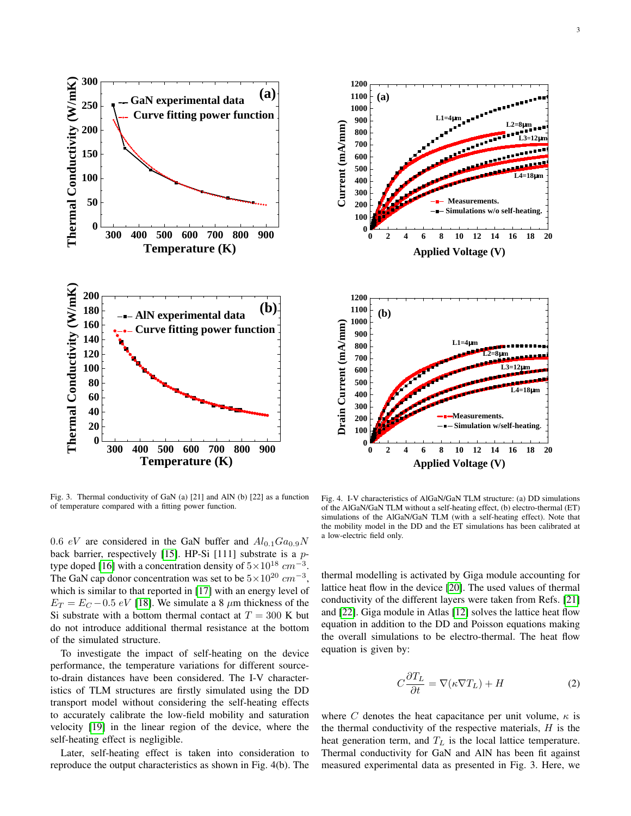

Fig. 3. Thermal conductivity of GaN (a) [21] and AlN (b) [22] as a function of temperature compared with a fitting power function.

0.6 eV are considered in the GaN buffer and  $Al_{0.1}Ga_{0.9}N$ back barrier, respectively [\[15\]](#page-6-13). HP-Si [111] substrate is a  $p$ -type doped [\[16\]](#page-6-14) with a concentration density of  $5\times10^{18}$   $cm^{-3}$ . The GaN cap donor concentration was set to be  $5\times10^{20}$   $cm^{-3}$ , which is similar to that reported in [\[17\]](#page-6-15) with an energy level of  $E_T = E_C - 0.5 \text{ eV}$  [\[18\]](#page-6-16). We simulate a 8  $\mu$ m thickness of the Si substrate with a bottom thermal contact at  $T = 300$  K but do not introduce additional thermal resistance at the bottom of the simulated structure.

To investigate the impact of self-heating on the device performance, the temperature variations for different sourceto-drain distances have been considered. The I-V characteristics of TLM structures are firstly simulated using the DD transport model without considering the self-heating effects to accurately calibrate the low-field mobility and saturation velocity [\[19\]](#page-6-17) in the linear region of the device, where the self-heating effect is negligible.

Later, self-heating effect is taken into consideration to reproduce the output characteristics as shown in Fig. 4(b). The

Fig. 4. I-V characteristics of AlGaN/GaN TLM structure: (a) DD simulations of the AlGaN/GaN TLM without a self-heating effect, (b) electro-thermal (ET) simulations of the AlGaN/GaN TLM (with a self-heating effect). Note that the mobility model in the DD and the ET simulations has been calibrated at a low-electric field only.

thermal modelling is activated by Giga module accounting for lattice heat flow in the device [\[20\]](#page-6-18). The used values of thermal conductivity of the different layers were taken from Refs. [\[21\]](#page-6-19) and [\[22\]](#page-6-20). Giga module in Atlas [\[12\]](#page-6-10) solves the lattice heat flow equation in addition to the DD and Poisson equations making the overall simulations to be electro-thermal. The heat flow equation is given by:

$$
C\frac{\partial T_L}{\partial t} = \nabla(\kappa \nabla T_L) + H \tag{2}
$$

where C denotes the heat capacitance per unit volume,  $\kappa$  is the thermal conductivity of the respective materials,  $H$  is the heat generation term, and  $T_L$  is the local lattice temperature. Thermal conductivity for GaN and AlN has been fit against measured experimental data as presented in Fig. 3. Here, we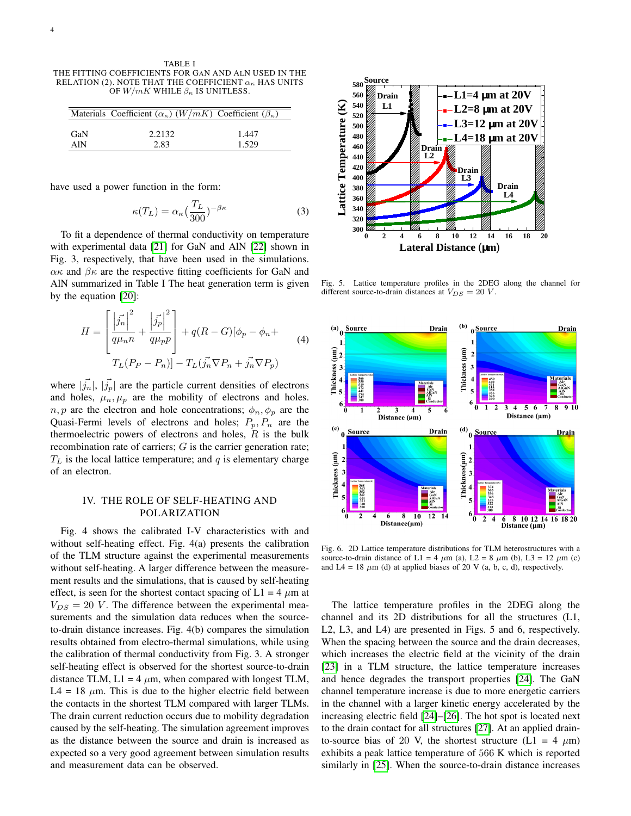TABLE I THE FITTING COEFFICIENTS FOR GAN AND ALN USED IN THE RELATION (2). NOTE THAT THE COEFFICIENT  $\alpha_{\kappa}$  HAS UNITS OF  $W/mK$  WHILE  $\beta_{\kappa}$  IS UNITLESS.

|     | Materials Coefficient $(\alpha_{\kappa})$ (W/mK) Coefficient ( $\beta_{\kappa}$ ) |       |
|-----|-----------------------------------------------------------------------------------|-------|
| GaN | 2.2132                                                                            | 1.447 |
| AIN | 2.83                                                                              | 1.529 |

have used a power function in the form:

$$
\kappa(T_L) = \alpha_\kappa \left(\frac{T_L}{300}\right)^{-\beta\kappa} \tag{3}
$$

To fit a dependence of thermal conductivity on temperature with experimental data [\[21\]](#page-6-19) for GaN and AlN [\[22\]](#page-6-20) shown in Fig. 3, respectively, that have been used in the simulations.  $\alpha$ κ and  $\beta$ κ are the respective fitting coefficients for GaN and AlN summarized in Table I The heat generation term is given by the equation [\[20\]](#page-6-18):

$$
H = \begin{bmatrix} \left| \vec{j_n} \right|^2 \\ \frac{q\mu_n n}{q\mu_p p} \end{bmatrix} + q(R - G)[\phi_p - \phi_n + \frac{q}{L(P_P - P_n)}] + q(R - G)[\phi_p - \phi_n + \frac{q}{L(P_P - P_n)}] - T_L(\vec{j_n} \nabla P_n + \vec{j_n} \nabla P_p)
$$
 (4)

where  $|\vec{j}_n|$ ,  $|\vec{j}_p|$  are the particle current densities of electrons and holes,  $\mu_n, \mu_p$  are the mobility of electrons and holes.  $n, p$  are the electron and hole concentrations;  $\phi_n, \phi_p$  are the Quasi-Fermi levels of electrons and holes;  $P_p$ ,  $P_n$  are the thermoelectric powers of electrons and holes,  $R$  is the bulk recombination rate of carriers;  $G$  is the carrier generation rate;  $T_L$  is the local lattice temperature; and  $q$  is elementary charge of an electron.

# IV. THE ROLE OF SELF-HEATING AND POLARIZATION

Fig. 4 shows the calibrated I-V characteristics with and without self-heating effect. Fig. 4(a) presents the calibration of the TLM structure against the experimental measurements without self-heating. A larger difference between the measurement results and the simulations, that is caused by self-heating effect, is seen for the shortest contact spacing of  $L1 = 4 \mu m$  at  $V_{DS} = 20$  V. The difference between the experimental measurements and the simulation data reduces when the sourceto-drain distance increases. Fig. 4(b) compares the simulation results obtained from electro-thermal simulations, while using the calibration of thermal conductivity from Fig. 3. A stronger self-heating effect is observed for the shortest source-to-drain distance TLM,  $L1 = 4 \mu m$ , when compared with longest TLM, L4 = 18  $\mu$ m. This is due to the higher electric field between the contacts in the shortest TLM compared with larger TLMs. The drain current reduction occurs due to mobility degradation caused by the self-heating. The simulation agreement improves as the distance between the source and drain is increased as expected so a very good agreement between simulation results and measurement data can be observed.



Fig. 5. Lattice temperature profiles in the 2DEG along the channel for different source-to-drain distances at  $V_{DS} = 20$  V.



Fig. 6. 2D Lattice temperature distributions for TLM heterostructures with a source-to-drain distance of L1 = 4  $\mu$ m (a), L2 = 8  $\mu$ m (b), L3 = 12  $\mu$ m (c) and L4 = 18  $\mu$ m (d) at applied biases of 20 V (a, b, c, d), respectively.

The lattice temperature profiles in the 2DEG along the channel and its 2D distributions for all the structures (L1, L2, L3, and L4) are presented in Figs. 5 and 6, respectively. When the spacing between the source and the drain decreases, which increases the electric field at the vicinity of the drain [\[23\]](#page-6-21) in a TLM structure, the lattice temperature increases and hence degrades the transport properties [\[24\]](#page-6-22). The GaN channel temperature increase is due to more energetic carriers in the channel with a larger kinetic energy accelerated by the increasing electric field [\[24\]](#page-6-22)–[\[26\]](#page-6-23). The hot spot is located next to the drain contact for all structures [\[27\]](#page-7-0). At an applied drainto-source bias of 20 V, the shortest structure (L1 = 4  $\mu$ m) exhibits a peak lattice temperature of 566 K which is reported similarly in [\[25\]](#page-6-24). When the source-to-drain distance increases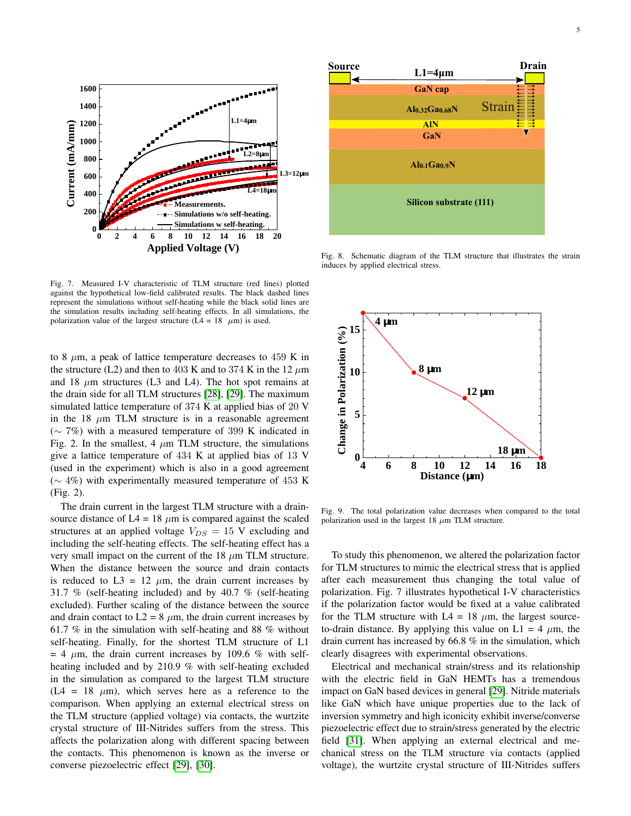

Fig. 7. Measured I-V characteristic of TLM structure (red lines) plotted against the hypothetical low-field calibrated results. The black dashed lines represent the simulations without self-heating while the black solid lines are the simulation results including self-heating effects. In all simulations, the polarization value of the largest structure (L4 = 18  $\mu$ m) is used.

to 8  $\mu$ m, a peak of lattice temperature decreases to 459 K in the structure (L2) and then to 403 K and to 374 K in the 12  $\mu$ m and 18  $\mu$ m structures (L3 and L4). The hot spot remains at the drain side for all TLM structures [\[28\]](#page-7-1), [\[29\]](#page-7-2). The maximum simulated lattice temperature of 374 K at applied bias of 20 V in the 18  $\mu$ m TLM structure is in a reasonable agreement (∼ 7%) with a measured temperature of 399 K indicated in Fig. 2. In the smallest, 4  $\mu$ m TLM structure, the simulations give a lattice temperature of 434 K at applied bias of 13 V (used in the experiment) which is also in a good agreement  $(∼ 4%)$  with experimentally measured temperature of 453 K (Fig. 2).

The drain current in the largest TLM structure with a drainsource distance of L4 = 18  $\mu$ m is compared against the scaled structures at an applied voltage  $V_{DS} = 15$  V excluding and including the self-heating effects. The self-heating effect has a very small impact on the current of the 18  $\mu$ m TLM structure. When the distance between the source and drain contacts is reduced to  $L3 = 12 \mu m$ , the drain current increases by 31.7 % (self-heating included) and by 40.7 % (self-heating excluded). Further scaling of the distance between the source and drain contact to  $L2 = 8 \mu m$ , the drain current increases by 61.7 % in the simulation with self-heating and 88 % without self-heating. Finally, for the shortest TLM structure of L1  $= 4 \mu m$ , the drain current increases by 109.6 % with selfheating included and by 210.9 % with self-heating excluded in the simulation as compared to the largest TLM structure  $(L4 = 18 \mu m)$ , which serves here as a reference to the comparison. When applying an external electrical stress on the TLM structure (applied voltage) via contacts, the wurtzite crystal structure of III-Nitrides suffers from the stress. This affects the polarization along with different spacing between the contacts. This phenomenon is known as the inverse or converse piezoelectric effect [\[29\]](#page-7-2), [\[30\]](#page-7-3).



Fig. 8. Schematic diagram of the TLM structure that illustrates the strain induces by applied electrical stress.



Fig. 9. The total polarization value decreases when compared to the total polarization used in the largest 18  $\mu$ m TLM structure.

To study this phenomenon, we altered the polarization factor for TLM structures to mimic the electrical stress that is applied after each measurement thus changing the total value of polarization. Fig. 7 illustrates hypothetical I-V characteristics if the polarization factor would be fixed at a value calibrated for the TLM structure with L4 = 18  $\mu$ m, the largest sourceto-drain distance. By applying this value on  $L1 = 4 \mu m$ , the drain current has increased by 66.8 % in the simulation, which clearly disagrees with experimental observations.

Electrical and mechanical strain/stress and its relationship with the electric field in GaN HEMTs has a tremendous impact on GaN based devices in general [\[29\]](#page-7-2). Nitride materials like GaN which have unique properties due to the lack of inversion symmetry and high iconicity exhibit inverse/converse piezoelectric effect due to strain/stress generated by the electric field [\[31\]](#page-7-4). When applying an external electrical and mechanical stress on the TLM structure via contacts (applied voltage), the wurtzite crystal structure of III-Nitrides suffers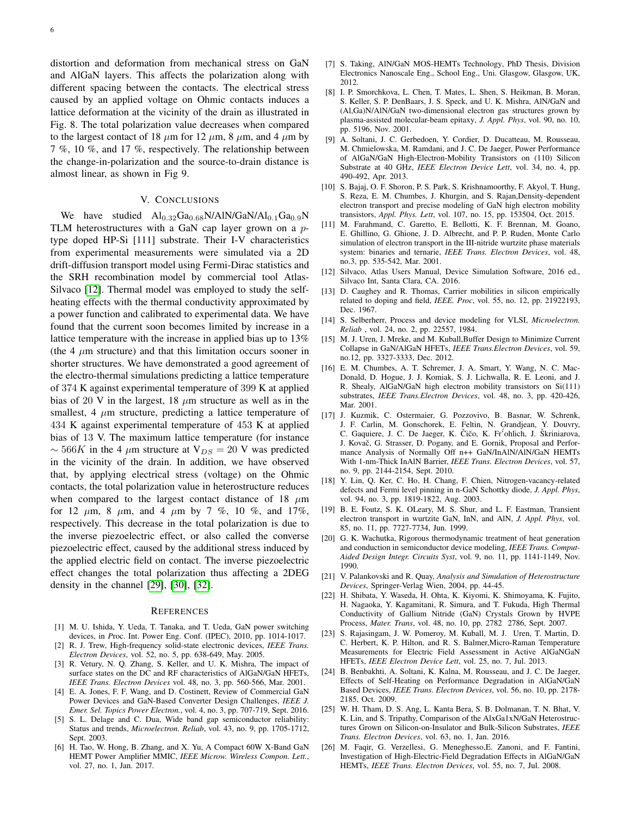distortion and deformation from mechanical stress on GaN and AlGaN layers. This affects the polarization along with different spacing between the contacts. The electrical stress caused by an applied voltage on Ohmic contacts induces a lattice deformation at the vicinity of the drain as illustrated in Fig. 8. The total polarization value decreases when compared to the largest contact of 18  $\mu$ m for 12  $\mu$ m, 8  $\mu$ m, and 4  $\mu$ m by 7 %, 10 %, and 17 %, respectively. The relationship between the change-in-polarization and the source-to-drain distance is almost linear, as shown in Fig 9.

## V. CONCLUSIONS

We have studied  $Al_{0.32}Ga_{0.68}N/AlN/GaN/Al_{0.1}Ga_{0.9}N$ TLM heterostructures with a GaN cap layer grown on a  $p$ type doped HP-Si [111] substrate. Their I-V characteristics from experimental measurements were simulated via a 2D drift-diffusion transport model using Fermi-Dirac statistics and the SRH recombination model by commercial tool Atlas-Silvaco [\[12\]](#page-6-10). Thermal model was employed to study the selfheating effects with the thermal conductivity approximated by a power function and calibrated to experimental data. We have found that the current soon becomes limited by increase in a lattice temperature with the increase in applied bias up to 13% (the 4  $\mu$ m structure) and that this limitation occurs sooner in shorter structures. We have demonstrated a good agreement of the electro-thermal simulations predicting a lattice temperature of 374 K against experimental temperature of 399 K at applied bias of 20 V in the largest, 18  $\mu$ m structure as well as in the smallest, 4  $\mu$ m structure, predicting a lattice temperature of 434 K against experimental temperature of 453 K at applied bias of 13 V. The maximum lattice temperature (for instance  $\sim$  566K in the 4  $\mu$ m structure at V<sub>DS</sub> = 20 V was predicted in the vicinity of the drain. In addition, we have observed that, by applying electrical stress (voltage) on the Ohmic contacts, the total polarization value in heterostructure reduces when compared to the largest contact distance of 18  $\mu$ m for 12  $\mu$ m, 8  $\mu$ m, and 4  $\mu$ m by 7 %, 10 %, and 17%, respectively. This decrease in the total polarization is due to the inverse piezoelectric effect, or also called the converse piezoelectric effect, caused by the additional stress induced by the applied electric field on contact. The inverse piezoelectric effect changes the total polarization thus affecting a 2DEG density in the channel [\[29\]](#page-7-2), [\[30\]](#page-7-3), [\[32\]](#page-7-5).

#### **REFERENCES**

- <span id="page-6-0"></span>[1] M. U. Ishida, Y. Ueda, T. Tanaka, and T. Ueda, GaN power switching devices, in *P*roc. Int. Power Eng. Conf. (IPEC), 2010, pp. 1014-1017.
- <span id="page-6-1"></span>[2] R. J. Trew, High-frequency solid-state electronic devices, *IEEE Trans. Electron Devices*, vol. 52, no. 5, pp. 638-649, May. 2005.
- <span id="page-6-2"></span>[3] R. Vetury, N. Q. Zhang, S. Keller, and U. K. Mishra, The impact of surface states on the DC and RF characteristics of AlGaN/GaN HFETs, *IEEE Trans. Electron Devices* vol. 48, no. 3, pp. 560-566, Mar. 2001.
- <span id="page-6-3"></span>[4] E. A. Jones, F. F. Wang, and D. Costinett, Review of Commercial GaN Power Devices and GaN-Based Converter Design Challenges, *IEEE J. Emer. Sel. Topics Power Electron.*, vol. 4, no. 3, pp. 707-719, Sept. 2016.
- [5] S. L. Delage and C. Dua, Wide band gap semiconductor reliability: Status and trends, *Microelectron. Reliab*, vol. 43, no. 9, pp. 1705-1712, Sept. 2003.
- <span id="page-6-4"></span>[6] H. Tao, W. Hong, B. Zhang, and X. Yu, A Compact 60W X-Band GaN HEMT Power Amplifier MMIC, *IEEE Microw. Wireless Compon. Lett.*, vol. 27, no. 1, Jan. 2017.
- <span id="page-6-5"></span>[7] S. Taking, AlN/GaN MOS-HEMTs Technology, PhD Thesis, Division Electronics Nanoscale Eng., School Eng., Uni. Glasgow, Glasgow, UK, 2012.
- <span id="page-6-6"></span>[8] I. P. Smorchkova, L. Chen, T. Mates, L. Shen, S. Heikman, B. Moran, S. Keller, S. P. DenBaars, J. S. Speck, and U. K. Mishra, AlN/GaN and (Al,Ga)N/AlN/GaN two-dimensional electron gas structures grown by plasma-assisted molecular-beam epitaxy, *J. Appl. Phys*, vol. 90, no. 10, pp. 5196, Nov. 2001.
- <span id="page-6-7"></span>[9] A. Soltani, J. C. Gerbedoen, Y. Cordier, D. Ducatteau, M. Rousseau, M. Chmielowska, M. Ramdani, and J. C. De Jaeger, Power Performance of AlGaN/GaN High-Electron-Mobility Transistors on (110) Silicon Substrate at 40 GHz, *IEEE Electron Device Lett*, vol. 34, no. 4, pp. 490-492, Apr. 2013.
- <span id="page-6-8"></span>[10] S. Bajaj, O. F. Shoron, P. S. Park, S. Krishnamoorthy, F. Akyol, T. Hung, S. Reza, E. M. Chumbes, J. Khurgin, and S. Rajan,Density-dependent electron transport and precise modeling of GaN high electron mobility transistors, *Appl. Phys. Lett*, vol. 107, no. 15, pp. 153504, Oct. 2015.
- <span id="page-6-9"></span>[11] M. Farahmand, C. Garetto, E. Bellotti, K. F. Brennan, M. Goano, E. Ghillino, G. Ghione, J. D. Albrecht, and P. P. Ruden, Monte Carlo simulation of electron transport in the III-nitride wurtzite phase materials system: binaries and ternarie, *IEEE Trans. Electron Devices*, vol. 48, no.3, pp. 535-542, Mar. 2001.
- <span id="page-6-10"></span>[12] Silvaco, Atlas Users Manual, Device Simulation Software, 2016 ed., Silvaco Int, Santa Clara, CA. 2016.
- <span id="page-6-11"></span>[13] D. Caughey and R. Thomas, Carrier mobilities in silicon empirically related to doping and field, *IEEE. Proc*, vol. 55, no. 12, pp. 21922193, Dec. 1967.
- <span id="page-6-12"></span>[14] S. Selberherr, Process and device modeling for VLSI, *Microelectron. Reliab* , vol. 24, no. 2, pp. 22557, 1984.
- <span id="page-6-13"></span>[15] M. J. Uren, J. Mreke, and M. Kuball, Buffer Design to Minimize Current Collapse in GaN/AlGaN HFETs, *IEEE Trans.Electron Devices*, vol. 59, no.12, pp. 3327-3333, Dec. 2012.
- <span id="page-6-14"></span>[16] E. M. Chumbes, A. T. Schremer, J. A. Smart, Y. Wang, N. C. Mac-Donald, D. Hogue, J. J. Komiak, S. J. Lichwalla, R. E. Leoni, and J. R. Shealy, AlGaN/GaN high electron mobility transistors on Si(111) substrates, *IEEE Trans.Electron Devices*, vol. 48, no. 3, pp. 420-426, Mar. 2001.
- <span id="page-6-15"></span>[17] J. Kuzmik, C. Ostermaier, G. Pozzovivo, B. Basnar, W. Schrenk, J. F. Carlin, M. Gonschorek, E. Feltin, N. Grandjean, Y. Douvry, C. Gaquiere, J. C. De Jaeger, K. Čičo, K. Fr'ohlich, J. Škriniarova, J. Kovač, G. Strasser, D. Pogany, and E. Gornik, Proposal and Performance Analysis of Normally Off n++ GaN/InAlN/AlN/GaN HEMTs With 1-nm-Thick InAlN Barrier, *IEEE Trans. Electron Devices*, vol. 57, no. 9, pp. 2144-2154, Sept. 2010.
- <span id="page-6-16"></span>[18] Y. Lin, Q. Ker, C. Ho, H. Chang, F. Chien, Nitrogen-vacancy-related defects and Fermi level pinning in n-GaN Schottky diode, *J. Appl. Phys*, vol. 94, no. 3, pp. 1819-1822, Aug. 2003.
- <span id="page-6-17"></span>[19] B. E. Foutz, S. K. OLeary, M. S. Shur, and L. F. Eastman, Transient electron transport in wurtzite GaN, InN, and AlN, *J. Appl. Phys*, vol. 85, no. 11, pp. 7727-7734, Jun. 1999.
- <span id="page-6-18"></span>[20] G. K. Wachutka, Rigorous thermodynamic treatment of heat generation and conduction in semiconductor device modeling, *IEEE Trans. Comput-Aided Design Integr. Circuits Syst*, vol. 9, no. 11, pp. 1141-1149, Nov. 1990.
- <span id="page-6-19"></span>[21] V. Palankovski and R. Quay, *Analysis and Simulation of Heterostructure Devices*, Springer-Verlag Wien, 2004, pp. 44-45.
- <span id="page-6-20"></span>[22] H. Shibata, Y. Waseda, H. Ohta, K. Kiyomi, K. Shimoyama, K. Fujito, H. Nagaoka, Y. Kagamitani, R. Simura, and T. Fukuda, High Thermal Conductivity of Gallium Nitride (GaN) Crystals Grown by HVPE Process, *Mater. Trans*, vol. 48, no. 10, pp. 2782 2786, Sept. 2007.
- <span id="page-6-21"></span>[23] S. Rajasingam, J. W. Pomeroy, M. Kuball, M. J. Uren, T. Martin, D. C. Herbert, K. P. Hilton, and R. S. Balmer,Micro-Raman Temperature Measurements for Electric Field Assessment in Active AlGaNGaN HFETs, *IEEE Electron Device Lett*, vol. 25, no. 7, Jul. 2013.
- <span id="page-6-22"></span>[24] B. Benbakhti, A. Soltani, K. Kalna, M. Rousseau, and J. C. De Jaeger, Effects of Self-Heating on Performance Degradation in AlGaN/GaN Based Devices, *IEEE Trans. Electron Devices*, vol. 56, no. 10, pp. 2178- 2185, Oct. 2009.
- <span id="page-6-24"></span>[25] W. H. Tham, D. S. Ang, L. Kanta Bera, S. B. Dolmanan, T. N. Bhat, V. K. Lin, and S. Tripathy, Comparison of the AlxGa1xN/GaN Heterostructures Grown on Silicon-on-Insulator and Bulk-Silicon Substrates, *IEEE Trans. Electron Devices*, vol. 63, no. 1, Jan. 2016.
- <span id="page-6-23"></span>[26] M. Faqir, G. Verzellesi, G. Meneghesso,E. Zanoni, and F. Fantini, Investigation of High-Electric-Field Degradation Effects in AlGaN/GaN HEMTs, *IEEE Trans. Electron Devices*, vol. 55, no. 7, Jul. 2008.